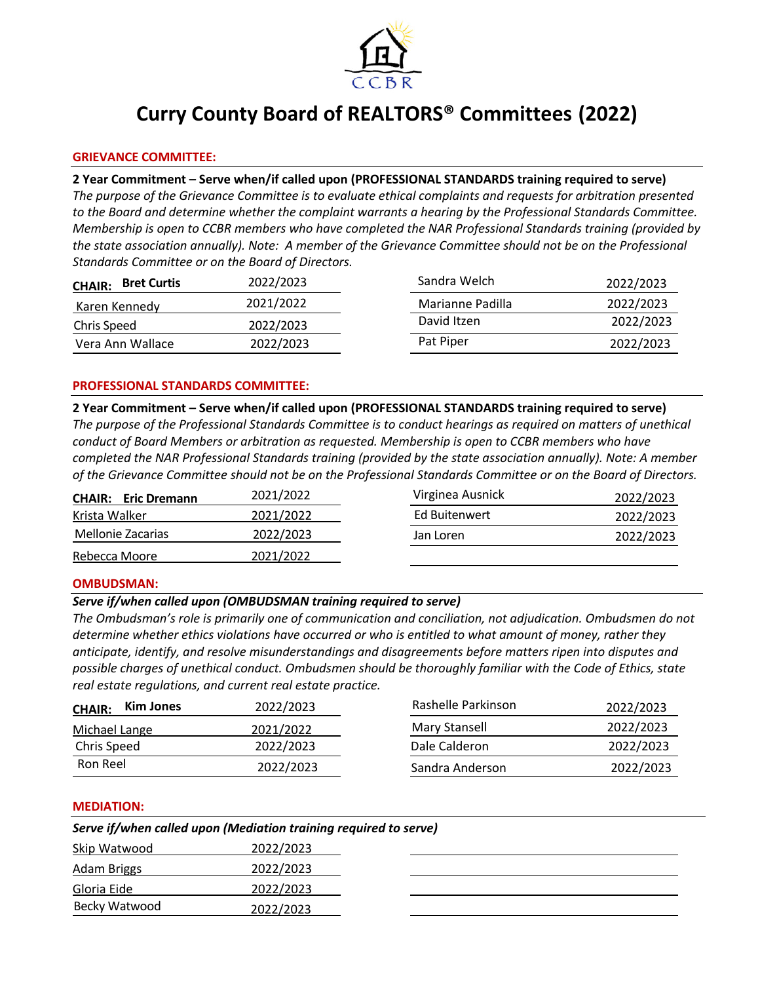

# **Curry County Board of REALTORS® Committees (2022)**

# **GRIEVANCE COMMITTEE:**

# **2 Year Commitment – Serve when/if called upon (PROFESSIONAL STANDARDS training required to serve)**

*The purpose of the Grievance Committee is to evaluate ethical complaints and requests for arbitration presented to the Board and determine whether the complaint warrants a hearing by the Professional Standards Committee. Membership is open to CCBR members who have completed the NAR Professional Standards training (provided by the state association annually). Note: A member of the Grievance Committee should not be on the Professional Standards Committee or on the Board of Directors.* 

| <b>Bret Curtis</b><br><b>CHAIR:</b> | 2022/2023 | Sandra Welch     | 2022/2023 |
|-------------------------------------|-----------|------------------|-----------|
| Karen Kennedy                       | 2021/2022 | Marianne Padilla | 2022/2023 |
| Chris Speed                         | 2022/2023 | David Itzen      | 2022/2023 |
| Vera Ann Wallace                    | 2022/2023 | Pat Piper        | 2022/2023 |

## **PROFESSIONAL STANDARDS COMMITTEE:**

**2 Year Commitment – Serve when/if called upon (PROFESSIONAL STANDARDS training required to serve)** *The purpose of the Professional Standards Committee is to conduct hearings as required on matters of unethical conduct of Board Members or arbitration as requested. Membership is open to CCBR members who have completed the NAR Professional Standards training (provided by the state association annually). Note: A member of the Grievance Committee should not be on the Professional Standards Committee or on the Board of Directors.*

| <b>CHAIR: Eric Dremann</b> | 2021/2022 |
|----------------------------|-----------|
| Krista Walker              | 2021/2022 |
| Mellonie Zacarias          | 2022/2023 |
| Rebecca Moore              | 2021/2022 |

| Virginea Ausnick | 2022/2023 |
|------------------|-----------|
| Ed Buitenwert    | 2022/2023 |
| Jan Loren        | 2022/2023 |
|                  |           |

## **OMBUDSMAN:**

## *Serve if/when called upon (OMBUDSMAN training required to serve)*

*The Ombudsman's role is primarily one of communication and conciliation, not adjudication. Ombudsmen do not determine whether ethics violations have occurred or who is entitled to what amount of money, rather they anticipate, identify, and resolve misunderstandings and disagreements before matters ripen into disputes and possible charges of unethical conduct. Ombudsmen should be thoroughly familiar with the Code of Ethics, state real estate regulations, and current real estate practice.*

| Kim Jones<br><b>CHAIR:</b> | 2022/2023 | Rashelle Parkinson | 2022/2023 |
|----------------------------|-----------|--------------------|-----------|
| Michael Lange              | 2021/2022 | Mary Stansell      | 2022/2023 |
| Chris Speed                | 2022/2023 | Dale Calderon      | 2022/2023 |
| Ron Reel                   | 2022/2023 | Sandra Anderson    | 2022/2023 |

#### **MEDIATION:**

| Serve if/when called upon (Mediation training required to serve) |           |  |  |
|------------------------------------------------------------------|-----------|--|--|
| Skip Watwood                                                     | 2022/2023 |  |  |
| Adam Briggs                                                      | 2022/2023 |  |  |
| Gloria Eide                                                      | 2022/2023 |  |  |
| Becky Watwood                                                    | 2022/2023 |  |  |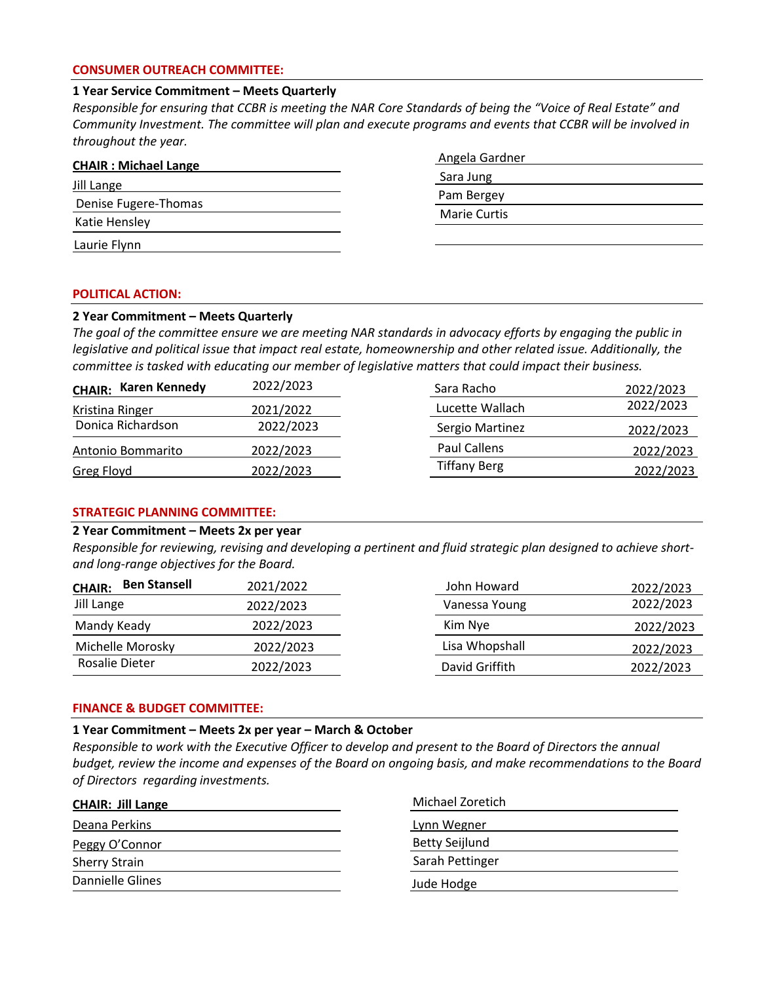## **CONSUMER OUTREACH COMMITTEE:**

## **1 Year Service Commitment – Meets Quarterly**

*Responsible for ensuring that CCBR is meeting the NAR Core Standards of being the "Voice of Real Estate" and Community Investment. The committee will plan and execute programs and events that CCBR will be involved in throughout the year.*

| <b>CHAIR: Michael Lange</b> |  |
|-----------------------------|--|
| Jill Lange                  |  |
| Denise Fugere-Thomas        |  |
| Katie Hensley               |  |
| Laurie Flynn                |  |

| Angela Gardner      |  |
|---------------------|--|
| Sara Jung           |  |
| Pam Bergey          |  |
| <b>Marie Curtis</b> |  |
|                     |  |

#### **POLITICAL ACTION:**

## **2 Year Commitment – Meets Quarterly**

*The goal of the committee ensure we are meeting NAR standards in advocacy efforts by engaging the public in legislative and political issue that impact real estate, homeownership and other related issue. Additionally, the committee is tasked with educating our member of legislative matters that could impact their business.*

| <b>CHAIR: Karen Kennedy</b> | 2022/2023 | Sara Racho          | 2022/2023 |
|-----------------------------|-----------|---------------------|-----------|
| Kristina Ringer             | 2021/2022 | Lucette Wallach     | 2022/2023 |
| Donica Richardson           | 2022/2023 | Sergio Martinez     | 2022/2023 |
| Antonio Bommarito           | 2022/2023 | Paul Callens        | 2022/2023 |
| <b>Greg Floyd</b>           | 2022/2023 | <b>Tiffany Berg</b> | 2022/2023 |

# **STRATEGIC PLANNING COMMITTEE:**

#### **2 Year Commitment – Meets 2x per year**

*Responsible for reviewing, revising and developing a pertinent and fluid strategic plan designed to achieve shortand long-range objectives for the Board.*

| <b>Ben Stansell</b><br><b>CHAIR:</b> | 2021/2022 | John Howard    | 2022/2023 |
|--------------------------------------|-----------|----------------|-----------|
| Jill Lange                           | 2022/2023 | Vanessa Young  | 2022/2023 |
| Mandy Keady                          | 2022/2023 | Kim Nye        | 2022/2023 |
| Michelle Morosky                     | 2022/2023 | Lisa Whopshall | 2022/2023 |
| Rosalie Dieter                       | 2022/2023 | David Griffith | 2022/2023 |

#### **FINANCE & BUDGET COMMITTEE:**

## **1 Year Commitment – Meets 2x per year – March & October**

*Responsible to work with the Executive Officer to develop and present to the Board of Directors the annual budget, review the income and expenses of the Board on ongoing basis, and make recommendations to the Board of Directors regarding investments.* 

| <b>CHAIR: Jill Lange</b> | Michael Zoretich      |
|--------------------------|-----------------------|
| Deana Perkins            | Lynn Wegner           |
| Peggy O'Connor           | <b>Betty Seijlund</b> |
| <b>Sherry Strain</b>     | Sarah Pettinger       |
| Dannielle Glines         | Jude Hodge            |